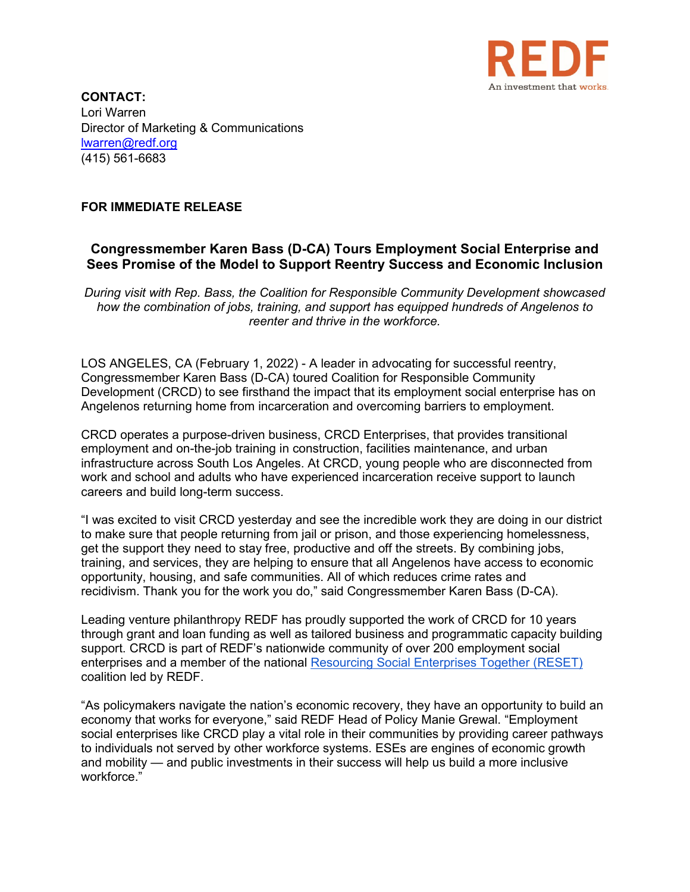

**CONTACT:** Lori Warren Director of Marketing & Communications [lwarren@redf.org](mailto:lwarren@redf.org) (415) 561-6683

## **FOR IMMEDIATE RELEASE**

## **Congressmember Karen Bass (D-CA) Tours Employment Social Enterprise and Sees Promise of the Model to Support Reentry Success and Economic Inclusion**

*During visit with Rep. Bass, the Coalition for Responsible Community Development showcased how the combination of jobs, training, and support has equipped hundreds of Angelenos to reenter and thrive in the workforce.*

LOS ANGELES, CA (February 1, 2022) - A leader in advocating for successful reentry, Congressmember Karen Bass (D-CA) toured Coalition for Responsible Community Development (CRCD) to see firsthand the impact that its employment social enterprise has on Angelenos returning home from incarceration and overcoming barriers to employment.

CRCD operates a purpose-driven business, CRCD Enterprises, that provides transitional employment and on-the-job training in construction, facilities maintenance, and urban infrastructure across South Los Angeles. At CRCD, young people who are disconnected from work and school and adults who have experienced incarceration receive support to launch careers and build long-term success.

"I was excited to visit CRCD yesterday and see the incredible work they are doing in our district to make sure that people returning from jail or prison, and those experiencing homelessness, get the support they need to stay free, productive and off the streets. By combining jobs, training, and services, they are helping to ensure that all Angelenos have access to economic opportunity, housing, and safe communities. All of which reduces crime rates and recidivism. Thank you for the work you do," said Congressmember Karen Bass (D-CA).

Leading venture philanthropy REDF has proudly supported the work of CRCD for 10 years through grant and loan funding as well as tailored business and programmatic capacity building support. CRCD is part of REDF's nationwide community of over 200 employment social enterprises and a member of the national [Resourcing Social Enterprises Together \(RESET\)](https://redf.org/wp-content/uploads/Resourcing-Employment-Social-Enterprises-Together-1-Pager-1.pdf) coalition led by REDF.

"As policymakers navigate the nation's economic recovery, they have an opportunity to build an economy that works for everyone," said REDF Head of Policy Manie Grewal. "Employment social enterprises like CRCD play a vital role in their communities by providing career pathways to individuals not served by other workforce systems. ESEs are engines of economic growth and mobility — and public investments in their success will help us build a more inclusive workforce."